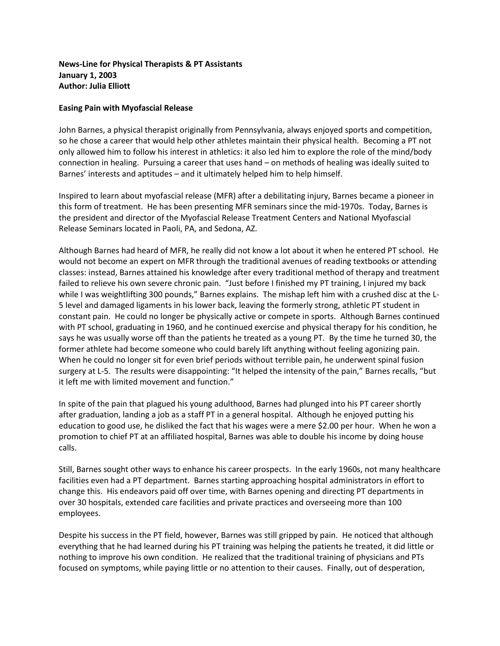## **News-Line for Physical Therapists & PT Assistants January 1, 2003 Author: Julia Elliott**

## **Easing Pain with Myofascial Release**

John Barnes, a physical therapist originally from Pennsylvania, always enjoyed sports and competition, so he chose a career that would help other athletes maintain their physical health. Becoming a PT not only allowed him to follow his interest in athletics: it also led him to explore the role of the mind/body connection in healing. Pursuing a career that uses hand – on methods of healing was ideally suited to Barnes' interests and aptitudes – and it ultimately helped him to help himself.

Inspired to learn about myofascial release (MFR) after a debilitating injury, Barnes became a pioneer in this form of treatment. He has been presenting MFR seminars since the mid-1970s. Today, Barnes is the president and director of the Myofascial Release Treatment Centers and National Myofascial Release Seminars located in Paoli, PA, and Sedona, AZ.

Although Barnes had heard of MFR, he really did not know a lot about it when he entered PT school. He would not become an expert on MFR through the traditional avenues of reading textbooks or attending classes: instead, Barnes attained his knowledge after every traditional method of therapy and treatment failed to relieve his own severe chronic pain. "Just before I finished my PT training, I injured my back while I was weightlifting 300 pounds," Barnes explains. The mishap left him with a crushed disc at the L-5 level and damaged ligaments in his lower back, leaving the formerly strong, athletic PT student in constant pain. He could no longer be physically active or compete in sports. Although Barnes continued with PT school, graduating in 1960, and he continued exercise and physical therapy for his condition, he says he was usually worse off than the patients he treated as a young PT. By the time he turned 30, the former athlete had become someone who could barely lift anything without feeling agonizing pain. When he could no longer sit for even brief periods without terrible pain, he underwent spinal fusion surgery at L-5. The results were disappointing: "It helped the intensity of the pain," Barnes recalls, "but it left me with limited movement and function."

In spite of the pain that plagued his young adulthood, Barnes had plunged into his PT career shortly after graduation, landing a job as a staff PT in a general hospital. Although he enjoyed putting his education to good use, he disliked the fact that his wages were a mere \$2.00 per hour. When he won a promotion to chief PT at an affiliated hospital, Barnes was able to double his income by doing house calls.

Still, Barnes sought other ways to enhance his career prospects. In the early 1960s, not many healthcare facilities even had a PT department. Barnes starting approaching hospital administrators in effort to change this. His endeavors paid off over time, with Barnes opening and directing PT departments in over 30 hospitals, extended care facilities and private practices and overseeing more than 100 employees.

Despite his success in the PT field, however, Barnes was still gripped by pain. He noticed that although everything that he had learned during his PT training was helping the patients he treated, it did little or nothing to improve his own condition. He realized that the traditional training of physicians and PTs focused on symptoms, while paying little or no attention to their causes. Finally, out of desperation,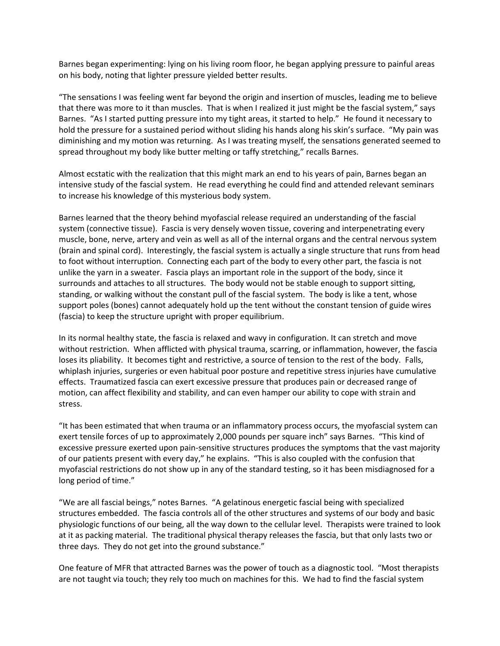Barnes began experimenting: lying on his living room floor, he began applying pressure to painful areas on his body, noting that lighter pressure yielded better results.

"The sensations I was feeling went far beyond the origin and insertion of muscles, leading me to believe that there was more to it than muscles. That is when I realized it just might be the fascial system," says Barnes. "As I started putting pressure into my tight areas, it started to help." He found it necessary to hold the pressure for a sustained period without sliding his hands along his skin's surface. "My pain was diminishing and my motion was returning. As I was treating myself, the sensations generated seemed to spread throughout my body like butter melting or taffy stretching," recalls Barnes.

Almost ecstatic with the realization that this might mark an end to his years of pain, Barnes began an intensive study of the fascial system. He read everything he could find and attended relevant seminars to increase his knowledge of this mysterious body system.

Barnes learned that the theory behind myofascial release required an understanding of the fascial system (connective tissue). Fascia is very densely woven tissue, covering and interpenetrating every muscle, bone, nerve, artery and vein as well as all of the internal organs and the central nervous system (brain and spinal cord). Interestingly, the fascial system is actually a single structure that runs from head to foot without interruption. Connecting each part of the body to every other part, the fascia is not unlike the yarn in a sweater. Fascia plays an important role in the support of the body, since it surrounds and attaches to all structures. The body would not be stable enough to support sitting, standing, or walking without the constant pull of the fascial system. The body is like a tent, whose support poles (bones) cannot adequately hold up the tent without the constant tension of guide wires (fascia) to keep the structure upright with proper equilibrium.

In its normal healthy state, the fascia is relaxed and wavy in configuration. It can stretch and move without restriction. When afflicted with physical trauma, scarring, or inflammation, however, the fascia loses its pliability. It becomes tight and restrictive, a source of tension to the rest of the body. Falls, whiplash injuries, surgeries or even habitual poor posture and repetitive stress injuries have cumulative effects. Traumatized fascia can exert excessive pressure that produces pain or decreased range of motion, can affect flexibility and stability, and can even hamper our ability to cope with strain and stress.

"It has been estimated that when trauma or an inflammatory process occurs, the myofascial system can exert tensile forces of up to approximately 2,000 pounds per square inch" says Barnes. "This kind of excessive pressure exerted upon pain-sensitive structures produces the symptoms that the vast majority of our patients present with every day," he explains. "This is also coupled with the confusion that myofascial restrictions do not show up in any of the standard testing, so it has been misdiagnosed for a long period of time."

"We are all fascial beings," notes Barnes. "A gelatinous energetic fascial being with specialized structures embedded. The fascia controls all of the other structures and systems of our body and basic physiologic functions of our being, all the way down to the cellular level. Therapists were trained to look at it as packing material. The traditional physical therapy releases the fascia, but that only lasts two or three days. They do not get into the ground substance."

One feature of MFR that attracted Barnes was the power of touch as a diagnostic tool. "Most therapists are not taught via touch; they rely too much on machines for this. We had to find the fascial system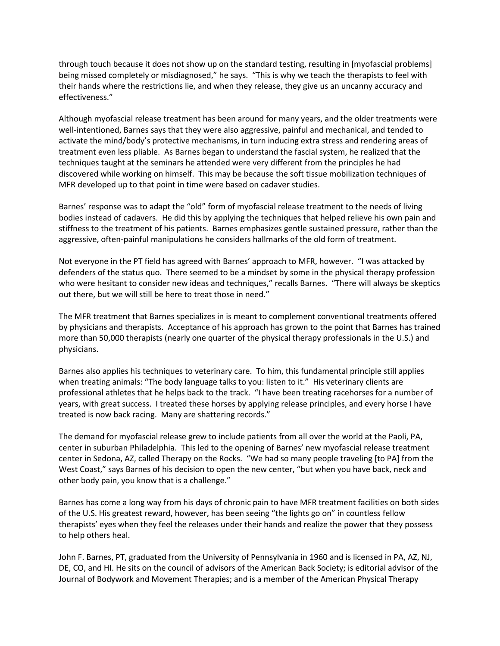through touch because it does not show up on the standard testing, resulting in [myofascial problems] being missed completely or misdiagnosed," he says. "This is why we teach the therapists to feel with their hands where the restrictions lie, and when they release, they give us an uncanny accuracy and effectiveness."

Although myofascial release treatment has been around for many years, and the older treatments were well-intentioned, Barnes says that they were also aggressive, painful and mechanical, and tended to activate the mind/body's protective mechanisms, in turn inducing extra stress and rendering areas of treatment even less pliable. As Barnes began to understand the fascial system, he realized that the techniques taught at the seminars he attended were very different from the principles he had discovered while working on himself. This may be because the soft tissue mobilization techniques of MFR developed up to that point in time were based on cadaver studies.

Barnes' response was to adapt the "old" form of myofascial release treatment to the needs of living bodies instead of cadavers. He did this by applying the techniques that helped relieve his own pain and stiffness to the treatment of his patients. Barnes emphasizes gentle sustained pressure, rather than the aggressive, often-painful manipulations he considers hallmarks of the old form of treatment.

Not everyone in the PT field has agreed with Barnes' approach to MFR, however. "I was attacked by defenders of the status quo. There seemed to be a mindset by some in the physical therapy profession who were hesitant to consider new ideas and techniques," recalls Barnes. "There will always be skeptics out there, but we will still be here to treat those in need."

The MFR treatment that Barnes specializes in is meant to complement conventional treatments offered by physicians and therapists. Acceptance of his approach has grown to the point that Barnes has trained more than 50,000 therapists (nearly one quarter of the physical therapy professionals in the U.S.) and physicians.

Barnes also applies his techniques to veterinary care. To him, this fundamental principle still applies when treating animals: "The body language talks to you: listen to it." His veterinary clients are professional athletes that he helps back to the track. "I have been treating racehorses for a number of years, with great success. I treated these horses by applying release principles, and every horse I have treated is now back racing. Many are shattering records."

The demand for myofascial release grew to include patients from all over the world at the Paoli, PA, center in suburban Philadelphia. This led to the opening of Barnes' new myofascial release treatment center in Sedona, AZ, called Therapy on the Rocks. "We had so many people traveling [to PA] from the West Coast," says Barnes of his decision to open the new center, "but when you have back, neck and other body pain, you know that is a challenge."

Barnes has come a long way from his days of chronic pain to have MFR treatment facilities on both sides of the U.S. His greatest reward, however, has been seeing "the lights go on" in countless fellow therapists' eyes when they feel the releases under their hands and realize the power that they possess to help others heal.

John F. Barnes, PT, graduated from the University of Pennsylvania in 1960 and is licensed in PA, AZ, NJ, DE, CO, and HI. He sits on the council of advisors of the American Back Society; is editorial advisor of the Journal of Bodywork and Movement Therapies; and is a member of the American Physical Therapy